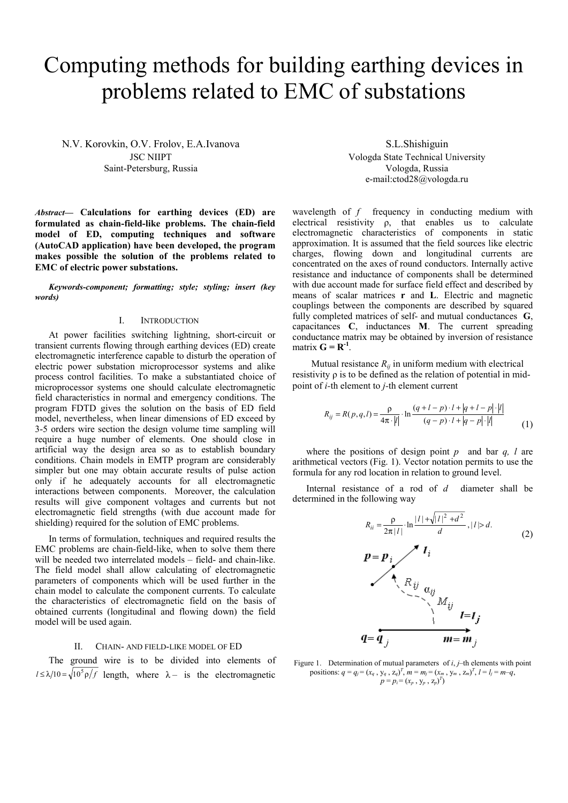# Computing methods for building earthing devices in problems related to EMC of substations

N.V. Korovkin, O.V. Frolov, E.A.Ivanova JSC NIIPT Saint-Petersburg, Russia

*Abstract***— Calculations for earthing devices (ED) are formulated as chain-field-like problems. The chain-field model of ED, computing techniques and software (AutoCAD application) have been developed, the program makes possible the solution of the problems related to EMC of electric power substations.**

*Keywords-component; formatting; style; styling; insert (key words)* 

#### I. INTRODUCTION

At power facilities switching lightning, short-circuit or transient currents flowing through earthing devices (ED) create electromagnetic interference capable to disturb the operation of electric power substation microprocessor systems and alike process control facilities. To make a substantiated choice of microprocessor systems one should calculate electromagnetic field characteristics in normal and emergency conditions. The program FDTD gives the solution on the basis of ED field model, nevertheless, when linear dimensions of ED exceed by 3-5 orders wire section the design volume time sampling will require a huge number of elements. One should close in artificial way the design area so as to establish boundary conditions. Chain models in EMTP program are considerably simpler but one may obtain accurate results of pulse action only if he adequately accounts for all electromagnetic interactions between components. Moreover, the calculation results will give component voltages and currents but not electromagnetic field strengths (with due account made for shielding) required for the solution of EMC problems.

In terms of formulation, techniques and required results the EMC problems are chain-field-like, when to solve them there will be needed two interrelated models – field- and chain-like. The field model shall allow calculating of electromagnetic parameters of components which will be used further in the chain model to calculate the component currents. To calculate the characteristics of electromagnetic field on the basis of obtained currents (longitudinal and flowing down) the field model will be used again.

#### II. CHAIN- AND FIELD-LIKE MODEL OF ED

The ground wire is to be divided into elements of  $l \le \lambda/10 = \sqrt{10^5 \rho/f}$  length, where  $\lambda$  – is the electromagnetic

S.L.Shishiguin

Vologda State Technical University Vologda, Russia e-mail:ctod28@vologda.ru

wavelength of f frequency in conducting medium with electrical resistivity ρ, that enables us to calculate electromagnetic characteristics of components in static approximation. It is assumed that the field sources like electric charges, flowing down and longitudinal currents are concentrated on the axes of round conductors. Internally active resistance and inductance of components shall be determined with due account made for surface field effect and described by means of scalar matrices **r** and **L**. Electric and magnetic couplings between the components are described by squared fully completed matrices of self- and mutual conductances **G**, capacitances **C**, inductances **M**. The current spreading conductance matrix may be obtained by inversion of resistance matrix  $G = R^{-1}$ .

Mutual resistance  $R_{ij}$  in uniform medium with electrical resistivity  $\rho$  is to be defined as the relation of potential in midpoint of *i-*th element to *j-*th element current

$$
R_{ij} = R(p,q,l) = \frac{\rho}{4\pi \cdot |l|} \cdot \ln \frac{(q+l-p) \cdot l + |q+l-p| \cdot |l|}{(q-p) \cdot l + |q-p| \cdot |l|}
$$
(1)

where the positions of design point *p* and bar *q, l* are arithmetical vectors (Fig. 1). Vector notation permits to use the formula for any rod location in relation to ground level.

Internal resistance of a rod of *d* diameter shall be determined in the following way



Figure 1. Determination of mutual parameters of *i*, *j*–th elements with point positions:  $q = q_j = (x_q, y_q, z_q)^T$ ,  $m = m_j = (x_m, y_m, z_m)^T$ ,  $l = l_j = m - q$ ,  $p = p_i = (x_p, y_p, z_p)^T$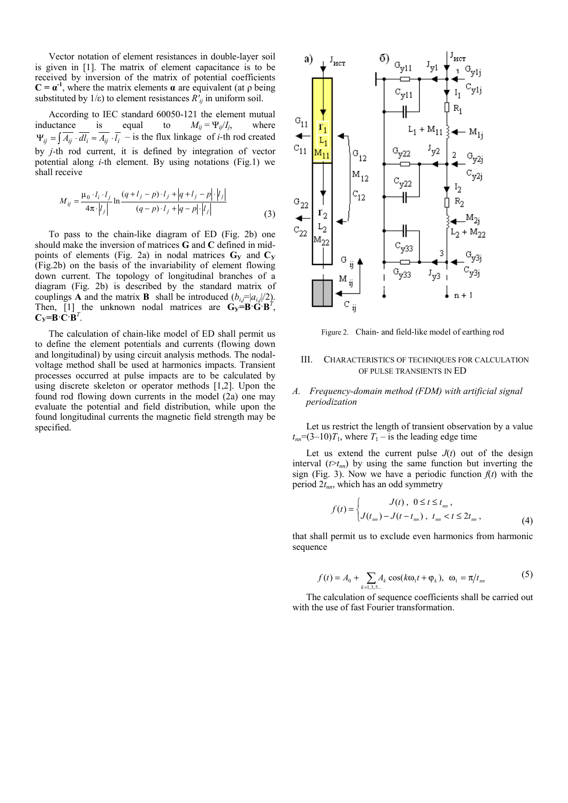Vector notation of element resistances in double-layer soil is given in [1]. The matrix of element capacitance is to be received by inversion of the matrix of potential coefficients  $C = \alpha^{-1}$ , where the matrix elements  $\alpha$  are equivalent (at  $\rho$  being substituted by  $1/\varepsilon$ ) to element resistances  $R'_{ij}$  in uniform soil.

According to IEC standard 60050-121 the element mutual inductance is equal to  $M_{ij} = \Psi_{ij}/I_j$ , where  $\Psi_{ij} = \int \overline{A_{ij}} \cdot \overline{dl_i} \approx \overline{A_{ij}} \cdot \overline{l_i}$  – is the flux linkage of *i*-th rod created by *j-*th rod current, it is defined by integration of vector potential along *i-*th element. By using notations (Fig.1) we shall receive

$$
M_{ij} = \frac{\mu_0 \cdot l_i \cdot l_j}{4\pi \cdot |l_j|} \ln \frac{(q + l_j - p) \cdot l_j + |q + l_j - p| \cdot |l_j|}{(q - p) \cdot l_j + |q - p| \cdot |l_j|}
$$
(3)

To pass to the chain-like diagram of ED (Fig. 2b) one should make the inversion of matrices **G** and **C** defined in midpoints of elements (Fig. 2a) in nodal matrices  $G_y$  and  $C_y$ (Fig.2b) on the basis of the invariability of element flowing down current. The topology of longitudinal branches of a diagram (Fig. 2b) is described by the standard matrix of couplings **A** and the matrix **B** shall be introduced  $(b_{i,j} = |a_{i,j}|/2)$ . Then,  $\begin{bmatrix} 1 \end{bmatrix}$  the unknown nodal matrices are  $\mathbf{G}_y = \mathbf{B} \cdot \mathbf{G} \cdot \mathbf{B}^T$ ,  $\mathbf{C}_\mathbf{y} = \mathbf{B} \cdot \mathbf{C} \cdot \mathbf{B}^T$ .

The calculation of chain-like model of ED shall permit us to define the element potentials and currents (flowing down and longitudinal) by using circuit analysis methods. The nodalvoltage method shall be used at harmonics impacts. Transient processes occurred at pulse impacts are to be calculated by using discrete skeleton or operator methods [1,2]. Upon the found rod flowing down currents in the model (2a) one may evaluate the potential and field distribution, while upon the found longitudinal currents the magnetic field strength may be specified.



Figure 2. Chain- and field-like model of earthing rod

### III. CHARACTERISTICS OF TECHNIQUES FOR CALCULATION OF PULSE TRANSIENTS IN ED

## *A. Frequency-domain method (FDM) with artificial signal periodization*

Let us restrict the length of transient observation by a value  $t_{nn}$ =(3–10) $T_1$ , where  $T_1$  – is the leading edge time

Let us extend the current pulse  $J(t)$  out of the design interval  $(2t_{nn})$  by using the same function but inverting the sign (Fig. 3). Now we have a periodic function  $f(t)$  with the period  $2t_{nn}$ , which has an odd symmetry

$$
f(t) = \begin{cases} J(t), & 0 \le t \le t_{nn}, \\ J(t_{nn}) - J(t - t_{nn}), & t_{nn} < t \le 2t_{nn}, \end{cases}
$$
 (4)

that shall permit us to exclude even harmonics from harmonic sequence

$$
f(t) = A_0 + \sum_{k=1,3,5...} A_k \cos(k\omega_1 t + \varphi_k), \ \omega_1 = \pi / t_{nn}
$$
 (5)

The calculation of sequence coefficients shall be carried out with the use of fast Fourier transformation.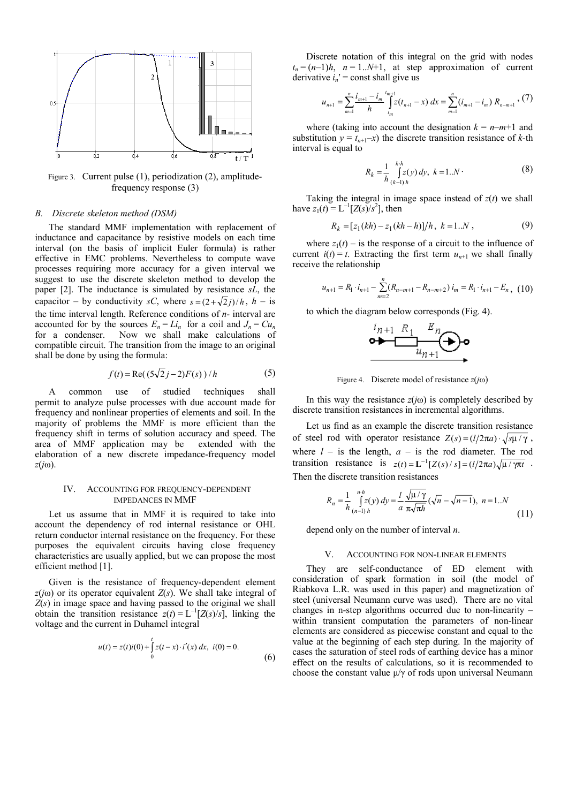

Figure 3. Current pulse (1), periodization (2), amplitudefrequency response (3)

#### *B. Discrete skeleton method (DSM)*

The standard MMF implementation with replacement of inductance and capacitance by resistive models on each time interval (on the basis of implicit Euler formula) is rather effective in EMC problems. Nevertheless to compute wave processes requiring more accuracy for a given interval we suggest to use the discrete skeleton method to develop the paper [2]. The inductance is simulated by resistance *sL*, the capacitor – by conductivity *sC*, where  $s = (2 + \sqrt{2}i)/h$ ,  $h - is$ the time interval length. Reference conditions of *n-* interval are accounted for by the sources  $E_n = Li_n$  for a coil and  $J_n = Cu_n$ for a condenser. Now we shall make calculations of compatible circuit. The transition from the image to an original shall be done by using the formula:

$$
f(t) = \text{Re}((5\sqrt{2}j - 2)F(s))/h
$$
 (5)

A common use of studied techniques shall permit to analyze pulse processes with due account made for frequency and nonlinear properties of elements and soil. In the majority of problems the MMF is more efficient than the frequency shift in terms of solution accuracy and speed. The area of MMF application may be extended with the elaboration of a new discrete impedance-frequency model *z*(*j*ω).

#### IV. ACCOUNTING FOR FREQUENCY-DEPENDENT IMPEDANCES IN MMF

Let us assume that in MMF it is required to take into account the dependency of rod internal resistance or OHL return conductor internal resistance on the frequency. For these purposes the equivalent circuits having close frequency characteristics are usually applied, but we can propose the most efficient method [1].

Given is the resistance of frequency-dependent element *z*(*j*ω) or its operator equivalent *Z*(*s*). We shall take integral of *Z*(*s*) in image space and having passed to the original we shall obtain the transition resistance  $z(t) = L^{-1}[Z(s)/s]$ , linking the voltage and the current in Duhamel integral

$$
u(t) = z(t)i(0) + \int_{0}^{t} z(t-x) \cdot i'(x) dx, \ i(0) = 0.
$$
 (6)

Discrete notation of this integral on the grid with nodes  $t_n = (n-1)h$ ,  $n = 1..N+1$ , at step approximation of current derivative  $i_n'$  = const shall give us

$$
u_{n+1} = \sum_{m=1}^{n} \frac{i_{m+1} - i_m}{h} \int_{i_m}^{i_{m+1}} z(t_{n+1} - x) dx = \sum_{m=1}^{n} (i_{m+1} - i_m) R_{n-m+1}, (7)
$$

where (taking into account the designation  $k = n-m+1$  and substitution  $y = t_{n+1} - x$  the discrete transition resistance of *k*-th interval is equal to

$$
R_k = \frac{1}{h} \int_{(k-1)h}^{k \cdot h} z(y) \, dy, \ k = 1..N \tag{8}
$$

Taking the integral in image space instead of  $z(t)$  we shall have  $z_1(t) = L^{-1}[Z(s)/s^2]$ , then

$$
R_k = [z_1(kh) - z_1(kh - h)]/h, \ k = 1..N,
$$
\n(9)

where  $z_1(t)$  – is the response of a circuit to the influence of current  $i(t) = t$ . Extracting the first term  $u_{n+1}$  we shall finally receive the relationship

$$
u_{n+1} = R_1 \cdot i_{n+1} - \sum_{m=2}^{n} (R_{n-m+1} - R_{n-m+2}) i_m = R_1 \cdot i_{n+1} - E_n, (10)
$$

to which the diagram below corresponds (Fig. 4).



Figure 4. Discrete model of resistance *z*(*j*ω)

In this way the resistance  $z(j\omega)$  is completely described by discrete transition resistances in incremental algorithms.

Let us find as an example the discrete transition resistance of steel rod with operator resistance  $Z(s) = (l/2\pi a) \cdot \sqrt{s \mu / \gamma}$ , where  $l -$  is the length,  $a -$  is the rod diameter. The rod transition resistance is  $z(t) = L^{-1}[Z(s)/s] = (l/2\pi a)\sqrt{\mu/\gamma\pi t}$ . Then the discrete transition resistances

$$
R_n = \frac{1}{h} \int_{(n-1)h}^{n \cdot h} f(x) \, dy = \frac{l}{a} \frac{\sqrt{\mu/\gamma}}{\pi \sqrt{\pi h}} (\sqrt{n} - \sqrt{n-1}), \ n = 1..N \tag{11}
$$

depend only on the number of interval *n*.

#### V. ACCOUNTING FOR NON-LINEAR ELEMENTS

They are self-conductance of ED element with consideration of spark formation in soil (the model of Riabkova L.R. was used in this paper) and magnetization of steel (universal Neumann curve was used). There are no vital changes in n-step algorithms occurred due to non-linearity – within transient computation the parameters of non-linear elements are considered as piecewise constant and equal to the value at the beginning of each step during. In the majority of cases the saturation of steel rods of earthing device has a minor effect on the results of calculations, so it is recommended to choose the constant value  $\mu/\gamma$  of rods upon universal Neumann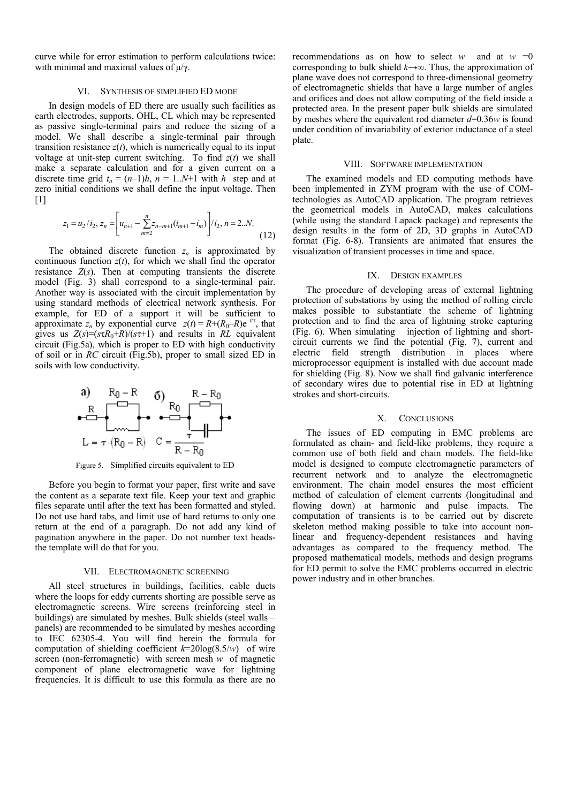curve while for error estimation to perform calculations twice: with minimal and maximal values of  $\mu/\gamma$ .

#### VI. SYNTHESIS OF SIMPLIFIED ED MODE

In design models of ED there are usually such facilities as earth electrodes, supports, OHL, CL which may be represented as passive single-terminal pairs and reduce the sizing of a model. We shall describe a single-terminal pair through transition resistance  $z(t)$ , which is numerically equal to its input voltage at unit-step current switching. To find *z*(*t*) we shall make a separate calculation and for a given current on a discrete time grid  $t_n = (n-1)h$ ,  $n = 1..N+1$  with h step and at zero initial conditions we shall define the input voltage. Then  $\lceil 1 \rceil$ 

$$
z_1 = u_2 / i_2, \ z_n = \left[ u_{n+1} - \sum_{m=2}^n z_{n-m+1} (i_{m+1} - i_m) \right] / i_2, \ n = 2..N. \tag{12}
$$

The obtained discrete function  $z_n$  is approximated by continuous function  $z(t)$ , for which we shall find the operator resistance *Z*(*s*). Then at computing transients the discrete model (Fig. 3) shall correspond to a single-terminal pair. Another way is associated with the circuit implementation by using standard methods of electrical network synthesis. For example, for ED of a support it will be sufficient to approximate  $z_n$  by exponential curve  $z(t) = R + (R_0 - R)e^{-t/\tau}$ , that gives us  $Z(s)=(s\tau R_0+R)/(s\tau+1)$  and results in RL equivalent circuit (Fig.5а), which is proper to ED with high conductivity of soil or in *RC* circuit (Fig.5b), proper to small sized ED in soils with low conductivity.



Figure 5. Simplified circuits equivalent to ED

Before you begin to format your paper, first write and save the content as a separate text file. Keep your text and graphic files separate until after the text has been formatted and styled. Do not use hard tabs, and limit use of hard returns to only one return at the end of a paragraph. Do not add any kind of pagination anywhere in the paper. Do not number text headsthe template will do that for you.

#### VII. ELECTROMAGNETIC SCREENING

All steel structures in buildings, facilities, cable ducts where the loops for eddy currents shorting are possible serve as electromagnetic screens. Wire screens (reinforcing steel in buildings) are simulated by meshes. Bulk shields (steel walls – panels) are recommended to be simulated by meshes according to IEC 62305-4. You will find herein the formula for computation of shielding coefficient *k*=20log(8.5/*w*) of wire screen (non-ferromagnetic) with screen mesh *w* of magnetic component of plane electromagnetic wave for lightning frequencies. It is difficult to use this formula as there are no recommendations as on how to select *w* and at  $w = 0$ corresponding to bulk shield *k*→∞. Thus, the approximation of plane wave does not correspond to three-dimensional geometry of electromagnetic shields that have a large number of angles and orifices and does not allow computing of the field inside a protected area. In the present paper bulk shields are simulated by meshes where the equivalent rod diameter *d*=0.36*w* is found under condition of invariability of exterior inductance of a steel plate.

#### VIII. SOFTWARE IMPLEMENTATION

The examined models and ED computing methods have been implemented in ZYM program with the use of COMtechnologies as AutoCAD application. The program retrieves the geometrical models in AutoCAD, makes calculations (while using the standard Lapack package) and represents the design results in the form of 2D, 3D graphs in AutoCAD format (Fig. 6-8). Transients are animated that ensures the visualization of transient processes in time and space.

## IX. DESIGN EXAMPLES

The procedure of developing areas of external lightning protection of substations by using the method of rolling circle makes possible to substantiate the scheme of lightning protection and to find the area of lightning stroke capturing (Fig. 6). When simulating injection of lightning and shortcircuit currents we find the potential (Fig. 7), current and electric field strength distribution in places where microprocessor equipment is installed with due account made for shielding (Fig. 8). Now we shall find galvanic interference of secondary wires due to potential rise in ED at lightning strokes and short-circuits.

#### X. CONCLUSIONS

The issues of ED computing in EMC problems are formulated as chain- and field-like problems, they require a common use of both field and chain models. The field-like model is designed to compute electromagnetic parameters of recurrent network and to analyze the electromagnetic environment. The chain model ensures the most efficient method of calculation of element currents (longitudinal and flowing down) at harmonic and pulse impacts. The computation of transients is to be carried out by discrete skeleton method making possible to take into account nonlinear and frequency-dependent resistances and having advantages as compared to the frequency method. The proposed mathematical models, methods and design programs for ED permit to solve the EMC problems occurred in electric power industry and in other branches.